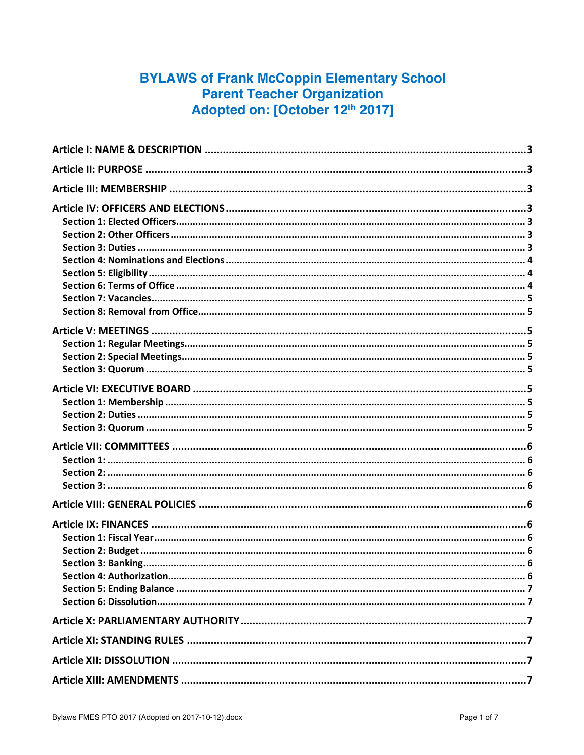# **BYLAWS of Frank McCoppin Elementary School Parent Teacher Organization** Adopted on: [October 12th 2017]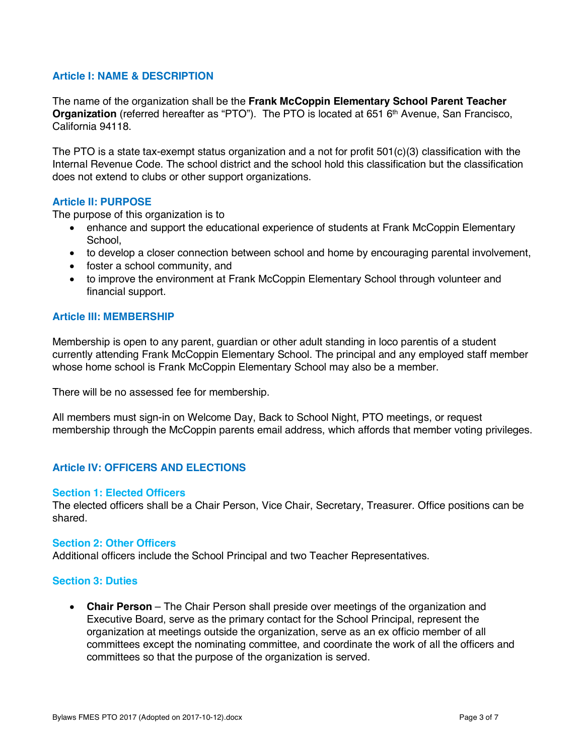# **Article I: NAME & DESCRIPTION**

The name of the organization shall be the **Frank McCoppin Elementary School Parent Teacher Organization** (referred hereafter as "PTO"). The PTO is located at 651 6<sup>th</sup> Avenue, San Francisco, California 94118.

The PTO is a state tax-exempt status organization and a not for profit 501(c)(3) classification with the Internal Revenue Code. The school district and the school hold this classification but the classification does not extend to clubs or other support organizations.

# **Article II: PURPOSE**

The purpose of this organization is to

- enhance and support the educational experience of students at Frank McCoppin Elementary School.
- to develop a closer connection between school and home by encouraging parental involvement,
- foster a school community, and
- to improve the environment at Frank McCoppin Elementary School through volunteer and financial support.

# **Article III: MEMBERSHIP**

Membership is open to any parent, guardian or other adult standing in loco parentis of a student currently attending Frank McCoppin Elementary School. The principal and any employed staff member whose home school is Frank McCoppin Elementary School may also be a member.

There will be no assessed fee for membership.

All members must sign-in on Welcome Day, Back to School Night, PTO meetings, or request membership through the McCoppin parents email address, which affords that member voting privileges.

# **Article IV: OFFICERS AND ELECTIONS**

#### **Section 1: Elected Officers**

The elected officers shall be a Chair Person, Vice Chair, Secretary, Treasurer. Office positions can be shared.

#### **Section 2: Other Officers**

Additional officers include the School Principal and two Teacher Representatives.

#### **Section 3: Duties**

• **Chair Person** – The Chair Person shall preside over meetings of the organization and Executive Board, serve as the primary contact for the School Principal, represent the organization at meetings outside the organization, serve as an ex officio member of all committees except the nominating committee, and coordinate the work of all the officers and committees so that the purpose of the organization is served.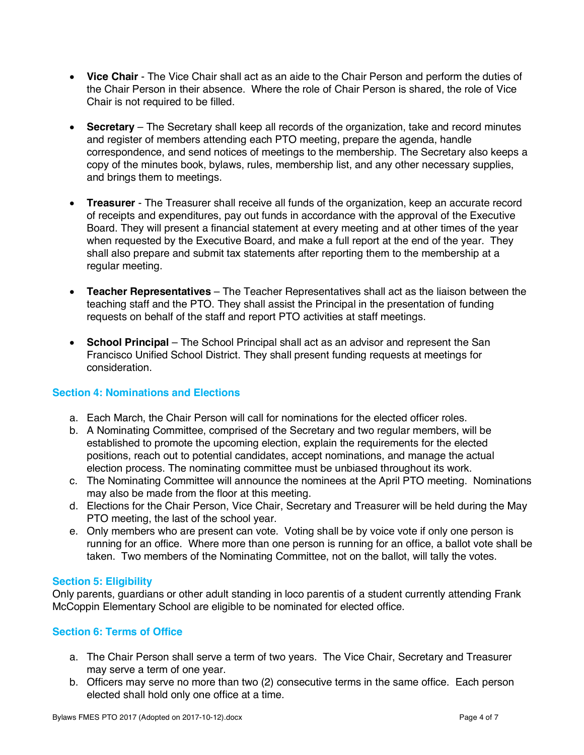- **Vice Chair**  The Vice Chair shall act as an aide to the Chair Person and perform the duties of the Chair Person in their absence. Where the role of Chair Person is shared, the role of Vice Chair is not required to be filled.
- **Secretary** The Secretary shall keep all records of the organization, take and record minutes and register of members attending each PTO meeting, prepare the agenda, handle correspondence, and send notices of meetings to the membership. The Secretary also keeps a copy of the minutes book, bylaws, rules, membership list, and any other necessary supplies, and brings them to meetings.
- **Treasurer**  The Treasurer shall receive all funds of the organization, keep an accurate record of receipts and expenditures, pay out funds in accordance with the approval of the Executive Board. They will present a financial statement at every meeting and at other times of the year when requested by the Executive Board, and make a full report at the end of the year. They shall also prepare and submit tax statements after reporting them to the membership at a regular meeting.
- **Teacher Representatives** The Teacher Representatives shall act as the liaison between the teaching staff and the PTO. They shall assist the Principal in the presentation of funding requests on behalf of the staff and report PTO activities at staff meetings.
- **School Principal** The School Principal shall act as an advisor and represent the San Francisco Unified School District. They shall present funding requests at meetings for consideration.

# **Section 4: Nominations and Elections**

- a. Each March, the Chair Person will call for nominations for the elected officer roles.
- b. A Nominating Committee, comprised of the Secretary and two regular members, will be established to promote the upcoming election, explain the requirements for the elected positions, reach out to potential candidates, accept nominations, and manage the actual election process. The nominating committee must be unbiased throughout its work.
- c. The Nominating Committee will announce the nominees at the April PTO meeting. Nominations may also be made from the floor at this meeting.
- d. Elections for the Chair Person, Vice Chair, Secretary and Treasurer will be held during the May PTO meeting, the last of the school year.
- e. Only members who are present can vote. Voting shall be by voice vote if only one person is running for an office. Where more than one person is running for an office, a ballot vote shall be taken. Two members of the Nominating Committee, not on the ballot, will tally the votes.

# **Section 5: Eligibility**

Only parents, guardians or other adult standing in loco parentis of a student currently attending Frank McCoppin Elementary School are eligible to be nominated for elected office.

# **Section 6: Terms of Office**

- a. The Chair Person shall serve a term of two years. The Vice Chair, Secretary and Treasurer may serve a term of one year.
- b. Officers may serve no more than two (2) consecutive terms in the same office. Each person elected shall hold only one office at a time.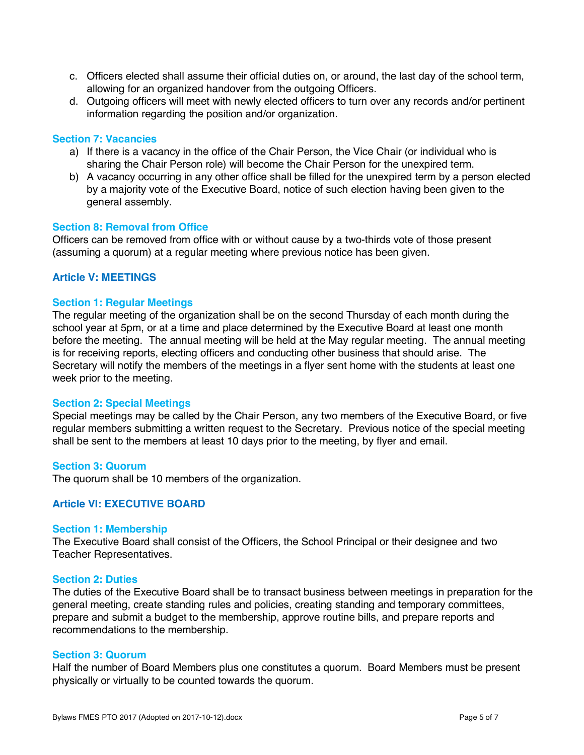- c. Officers elected shall assume their official duties on, or around, the last day of the school term, allowing for an organized handover from the outgoing Officers.
- d. Outgoing officers will meet with newly elected officers to turn over any records and/or pertinent information regarding the position and/or organization.

#### **Section 7: Vacancies**

- a) If there is a vacancy in the office of the Chair Person, the Vice Chair (or individual who is sharing the Chair Person role) will become the Chair Person for the unexpired term.
- b) A vacancy occurring in any other office shall be filled for the unexpired term by a person elected by a majority vote of the Executive Board, notice of such election having been given to the general assembly.

#### **Section 8: Removal from Office**

Officers can be removed from office with or without cause by a two-thirds vote of those present (assuming a quorum) at a regular meeting where previous notice has been given.

# **Article V: MEETINGS**

#### **Section 1: Regular Meetings**

The regular meeting of the organization shall be on the second Thursday of each month during the school year at 5pm, or at a time and place determined by the Executive Board at least one month before the meeting. The annual meeting will be held at the May regular meeting. The annual meeting is for receiving reports, electing officers and conducting other business that should arise. The Secretary will notify the members of the meetings in a flyer sent home with the students at least one week prior to the meeting.

#### **Section 2: Special Meetings**

Special meetings may be called by the Chair Person, any two members of the Executive Board, or five regular members submitting a written request to the Secretary. Previous notice of the special meeting shall be sent to the members at least 10 days prior to the meeting, by flyer and email.

#### **Section 3: Quorum**

The quorum shall be 10 members of the organization.

# **Article VI: EXECUTIVE BOARD**

#### **Section 1: Membership**

The Executive Board shall consist of the Officers, the School Principal or their designee and two Teacher Representatives.

#### **Section 2: Duties**

The duties of the Executive Board shall be to transact business between meetings in preparation for the general meeting, create standing rules and policies, creating standing and temporary committees, prepare and submit a budget to the membership, approve routine bills, and prepare reports and recommendations to the membership.

#### **Section 3: Quorum**

Half the number of Board Members plus one constitutes a quorum. Board Members must be present physically or virtually to be counted towards the quorum.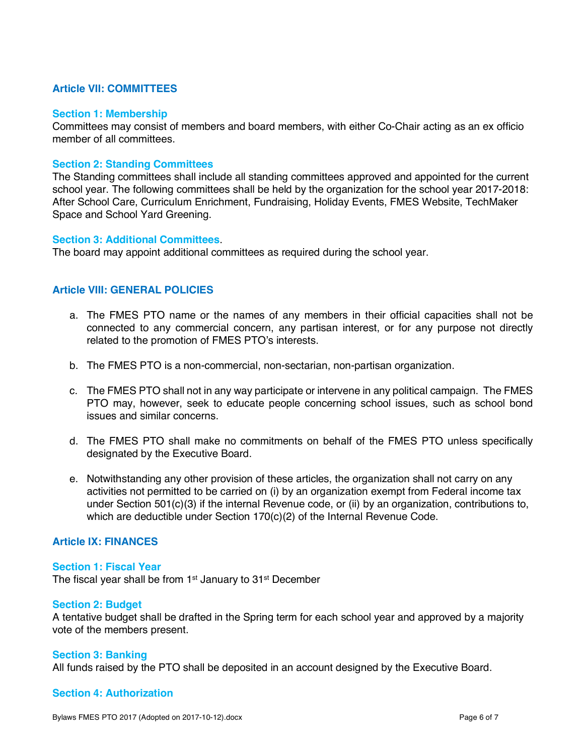# **Article VII: COMMITTEES**

#### **Section 1: Membership**

Committees may consist of members and board members, with either Co-Chair acting as an ex officio member of all committees

### **Section 2: Standing Committees**

The Standing committees shall include all standing committees approved and appointed for the current school year. The following committees shall be held by the organization for the school year 2017-2018: After School Care, Curriculum Enrichment, Fundraising, Holiday Events, FMES Website, TechMaker Space and School Yard Greening.

#### **Section 3: Additional Committees**.

The board may appoint additional committees as required during the school year.

# **Article VIII: GENERAL POLICIES**

- a. The FMES PTO name or the names of any members in their official capacities shall not be connected to any commercial concern, any partisan interest, or for any purpose not directly related to the promotion of FMES PTO's interests.
- b. The FMES PTO is a non-commercial, non-sectarian, non-partisan organization.
- c. The FMES PTO shall not in any way participate or intervene in any political campaign. The FMES PTO may, however, seek to educate people concerning school issues, such as school bond issues and similar concerns.
- d. The FMES PTO shall make no commitments on behalf of the FMES PTO unless specifically designated by the Executive Board.
- e. Notwithstanding any other provision of these articles, the organization shall not carry on any activities not permitted to be carried on (i) by an organization exempt from Federal income tax under Section 501(c)(3) if the internal Revenue code, or (ii) by an organization, contributions to, which are deductible under Section 170(c)(2) of the Internal Revenue Code.

# **Article IX: FINANCES**

#### **Section 1: Fiscal Year**

The fiscal year shall be from 1<sup>st</sup> January to 31<sup>st</sup> December

#### **Section 2: Budget**

A tentative budget shall be drafted in the Spring term for each school year and approved by a majority vote of the members present.

#### **Section 3: Banking**

All funds raised by the PTO shall be deposited in an account designed by the Executive Board.

# **Section 4: Authorization**